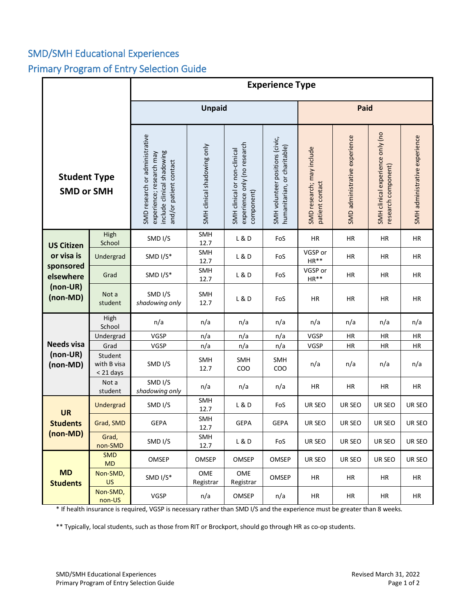## SMD/SMH Educational Experiences Primary Program of Entry Selection Guide

|                                          |                                     | <b>Experience Type</b>                                                                                             |                             |                                                                            |                                                                 |                                              |                               |                                                         |                               |  |
|------------------------------------------|-------------------------------------|--------------------------------------------------------------------------------------------------------------------|-----------------------------|----------------------------------------------------------------------------|-----------------------------------------------------------------|----------------------------------------------|-------------------------------|---------------------------------------------------------|-------------------------------|--|
|                                          |                                     | <b>Unpaid</b>                                                                                                      |                             |                                                                            |                                                                 | Paid                                         |                               |                                                         |                               |  |
| <b>Student Type</b><br><b>SMD or SMH</b> |                                     | SMD research or administrative<br>include clinical shadowing<br>experience; research may<br>and/or patient contact | SMH clinical shadowing only | experience only (no research<br>SMH clinical or non-clinical<br>component) | SMH volunteer positions (civic,<br>humanitarian, or charitable) | SMD research; may include<br>patient contact | SMD administrative experience | SMH clinical experience only (no<br>research component) | SMH administrative experience |  |
| <b>US Citizen</b>                        | High<br>School                      | SMD I/S                                                                                                            | SMH<br>12.7                 | L & D                                                                      | FoS                                                             | <b>HR</b>                                    | <b>HR</b>                     | HR                                                      | HR                            |  |
| or visa is                               | Undergrad                           | SMD I/S*                                                                                                           | SMH<br>12.7                 | L & D                                                                      | FoS                                                             | VGSP or<br>$HR**$                            | <b>HR</b>                     | <b>HR</b>                                               | <b>HR</b>                     |  |
| sponsored<br>elsewhere                   | Grad                                | SMD I/S*                                                                                                           | SMH<br>12.7                 | L & D                                                                      | FoS                                                             | VGSP or<br>$HR**$                            | HR                            | HR                                                      | HR                            |  |
| (non-UR)<br>(non-MD)                     | Not a<br>student                    | SMD I/S<br>shadowing only                                                                                          | SMH<br>12.7                 | L & D                                                                      | FoS                                                             | ΗR                                           | <b>HR</b>                     | HR                                                      | HR                            |  |
|                                          | High<br>School                      | n/a                                                                                                                | n/a                         | n/a                                                                        | n/a                                                             | n/a                                          | n/a                           | n/a                                                     | n/a                           |  |
|                                          | Undergrad                           | VGSP                                                                                                               | n/a                         | n/a                                                                        | n/a                                                             | <b>VGSP</b>                                  | ΗR                            | <b>HR</b>                                               | ΗR                            |  |
| <b>Needs visa</b>                        | Grad                                | VGSP                                                                                                               | n/a                         | n/a                                                                        | n/a                                                             | VGSP                                         | HR                            | HR                                                      | HR                            |  |
| (non-UR)<br>(non-MD)                     | Student<br>with B visa<br>< 21 days | SMD I/S                                                                                                            | SMH<br>12.7                 | SMH<br>COO                                                                 | SMH<br>COO                                                      | n/a                                          | n/a                           | n/a                                                     | n/a                           |  |
|                                          | Not a<br>student                    | SMD I/S<br>shadowing only                                                                                          | n/a                         | n/a                                                                        | n/a                                                             | HR                                           | <b>HR</b>                     | <b>HR</b>                                               | <b>HR</b>                     |  |
| <b>UR</b>                                | Undergrad                           | SMD I/S                                                                                                            | SMH<br>12.7                 | L & D                                                                      | FoS                                                             | UR SEO                                       | UR SEO                        | UR SEO                                                  | UR SEO                        |  |
| <b>Students</b>                          | Grad, SMD                           | <b>GEPA</b>                                                                                                        | SMH<br>12.7                 | <b>GEPA</b>                                                                | <b>GEPA</b>                                                     | UR SEO                                       | UR SEO                        | UR SEO                                                  | UR SEO                        |  |
| (non-MD)                                 | Grad,<br>non-SMD                    | SMD I/S                                                                                                            | SMH<br>12.7                 | L & D                                                                      | FoS                                                             | UR SEO                                       | UR SEO                        | UR SEO                                                  | UR SEO                        |  |
|                                          | <b>SMD</b><br>MD                    | <b>OMSEP</b>                                                                                                       | <b>OMSEP</b>                | OMSEP                                                                      | OMSEP                                                           | UR SEO                                       | UR SEO                        | UR SEO                                                  | UR SEO                        |  |
| <b>MD</b><br><b>Students</b>             | Non-SMD,<br><b>US</b>               | SMD I/S*                                                                                                           | OME<br>Registrar            | OME<br>Registrar                                                           | OMSEP                                                           | HR                                           | HR                            | HR                                                      | HR                            |  |
|                                          | Non-SMD,<br>non-US                  | VGSP                                                                                                               | n/a                         | OMSEP                                                                      | n/a                                                             | HR                                           | HR                            | HR                                                      | HR                            |  |

\* If health insurance is required, VGSP is necessary rather than SMD I/S and the experience must be greater than 8 weeks.

\*\* Typically, local students, such as those from RIT or Brockport, should go through HR as co-op students.